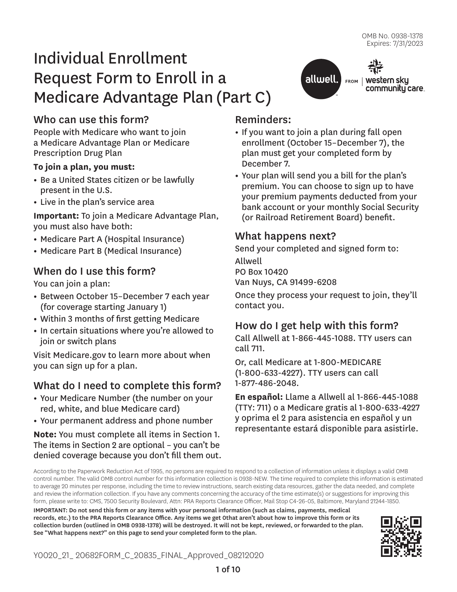community care.

allwell. FROM | Western sky

# Individual Enrollment Request Form to Enroll in a Medicare Advantage Plan (Part C)

# Who can use this form?

People with Medicare who want to join a Medicare Advantage Plan or Medicare Prescription Drug Plan

### **To join a plan, you must:**

- **•** Be a United States citizen or be lawfully present in the U.S.
- **•** Live in the plan's service area

**Important:** To join a Medicare Advantage Plan, you must also have both:

- **•** Medicare Part A (Hospital Insurance)
- **•** Medicare Part B (Medical Insurance)

# When do I use this form?

You can join a plan:

- **•** Between October 15–December 7 each year (for coverage starting January 1)
- **•** Within 3 months of first getting Medicare
- **•** In certain situations where you're allowed to join or switch plans

Visit Medicare.gov to learn more about when you can sign up for a plan.

# What do I need to complete this form?

- **•** Your Medicare Number (the number on your red, white, and blue Medicare card)
- **•** Your permanent address and phone number

**Note:** You must complete all items in Section 1. The items in Section 2 are optional – you can't be denied coverage because you don't fill them out.

## Reminders:

- **•** If you want to join a plan during fall open enrollment (October 15–December 7), the plan must get your completed form by December 7.
- **•** Your plan will send you a bill for the plan's premium. You can choose to sign up to have your premium payments deducted from your bank account or your monthly Social Security (or Railroad Retirement Board) benefit.

### What happens next?

Send your completed and signed form to:

Allwell PO Box 10420 Van Nuys, CA 91499-6208

Once they process your request to join, they'll contact you.

# How do I get help with this form?

Call Allwell at 1-866-445-1088. TTY users can call 711.

Or, call Medicare at 1-800-MEDICARE (1-800-633-4227). TTY users can call 1-877-486-2048.

**En español:** Llame a Allwell al 1-866-445-1088 (TTY: 711) o a Medicare gratis al 1-800-633-4227 y oprima el 2 para asistencia en español y un representante estará disponible para asistirle.

According to the Paperwork Reduction Act of 1995, no persons are required to respond to a collection of information unless it displays a valid OMB control number. The valid OMB control number for this information collection is 0938-NEW. The time required to complete this information is estimated to average 20 minutes per response, including the time to review instructions, search existing data resources, gather the data needed, and complete and review the information collection. If you have any comments concerning the accuracy of the time estimate(s) or suggestions for improving this form, please write to: CMS, 7500 Security Boulevard, Attn: PRA Reports Clearance Officer, Mail Stop C4-26-05, Baltimore, Maryland 21244-1850.

IMPORTANT: Do not send this form or any items with your personal information (such as claims, payments, medical records, etc.) to the PRA Reports Clearance Office. Any items we get 0that aren't about how to improve this form or its collection burden (outlined in OMB 0938-1378) will be destroyed. It will not be kept, reviewed, or forwarded to the plan. See "What happens next?" on this page to send your completed form to the plan.

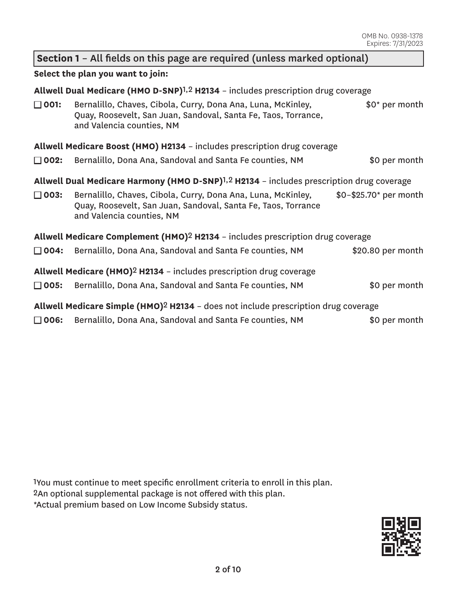### **Section 1** – All fields on this page are required (unless marked optional)

#### **Select the plan you want to join:**

**Allwell Dual Medicare (HMO D-SNP)**1,2 **H2134** – includes prescription drug coverage

| $\Box$ 001: | Bernalillo, Chaves, Cibola, Curry, Dona Ana, Luna, McKinley,   | \$0* per month |
|-------------|----------------------------------------------------------------|----------------|
|             | Quay, Roosevelt, San Juan, Sandoval, Santa Fe, Taos, Torrance, |                |
|             | and Valencia counties, NM                                      |                |

### **Allwell Medicare Boost (HMO) H2134** – includes prescription drug coverage

□ **002:** Bernalillo, Dona Ana, Sandoval and Santa Fe counties, NM \$0 per month

### **Allwell Dual Medicare Harmony (HMO D-SNP)**1,2 **H2134** – includes prescription drug coverage

- □ 003: Bernalillo, Chaves, Cibola, Curry, Dona Ana, Luna, McKinley, Quay, Roosevelt, San Juan, Sandoval, Santa Fe, Taos, Torrance and Valencia counties, NM \$0–\$25.70\* per month
- **Allwell Medicare Complement (HMO)**2 **H2134**  includes prescription drug coverage

|  | $\square$ 004: Bernalillo, Dona Ana, Sandoval and Santa Fe counties, NM | \$20.80 per month |
|--|-------------------------------------------------------------------------|-------------------|
|--|-------------------------------------------------------------------------|-------------------|

- **Allwell Medicare (HMO)**2 **H2134**  includes prescription drug coverage
- □ **005:** Bernalillo, Dona Ana, Sandoval and Santa Fe counties, NM \$0 per month
- **Allwell Medicare Simple (HMO)**2 **H2134**  does not include prescription drug coverage
- □ **006:** Bernalillo, Dona Ana, Sandoval and Santa Fe counties, NM \$0 per month

1You must continue to meet specific enrollment criteria to enroll in this plan. 2An optional supplemental package is not offered with this plan. \*Actual premium based on Low Income Subsidy status.

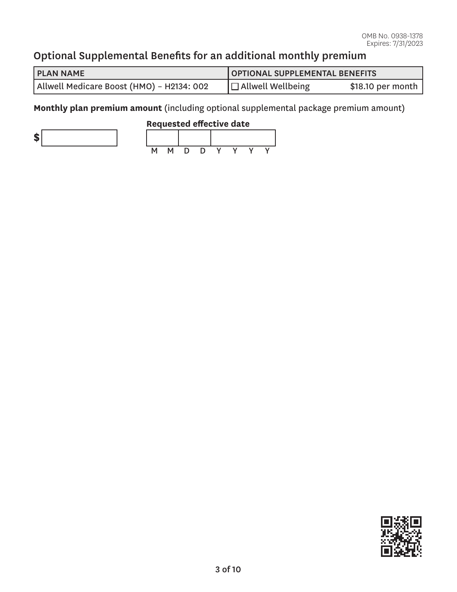# Optional Supplemental Benefits for an additional monthly premium

| <b>PLAN NAME</b>                          | OPTIONAL SUPPLEMENTAL BENEFITS |                   |  |
|-------------------------------------------|--------------------------------|-------------------|--|
| Allwell Medicare Boost (HMO) – H2134: 002 | $ \Box$ Allwell Wellbeing      | \$18.10 per month |  |

**Monthly plan premium amount** (including optional supplemental package premium amount)



### **Requested effective date**



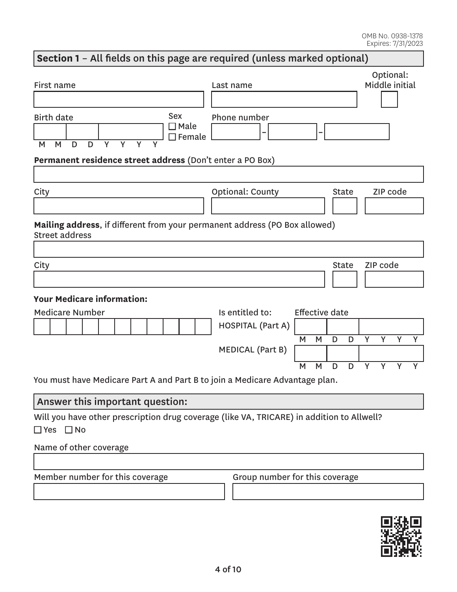# Will you have other prescription drug coverage (like VA, TRICARE) in addition to Allwell?<br>□ Yes □ No **Section 1** – All fields on this page are required (unless marked optional) First name Last name Optional: Middle initial Birth date M M D D Y Y Y Y Sex □ Male  $\Box$  Female Phone number **– – Permanent residence street address** (Don't enter a PO Box) City City Context County City County City City City Code **Mailing address**, if different from your permanent address (PO Box allowed) Street address City and the City of the City of the City of the City of the City of the City of the City of the City of the City of the City of the City of the City of the City of the City of the City of the City of the City of the City **Your Medicare information:**  Medicare Number **Is entitled to:** Effective date HOSPITAL (Part A) M M D D Y Y Y Y MEDICAL (Part B) M M D D Y Y Y Y You must have Medicare Part A and Part B to join a Medicare Advantage plan. Answer this important question: Name of other coverage

| Member number for this coverage | Group number for this coverage |
|---------------------------------|--------------------------------|
|                                 |                                |
|                                 |                                |

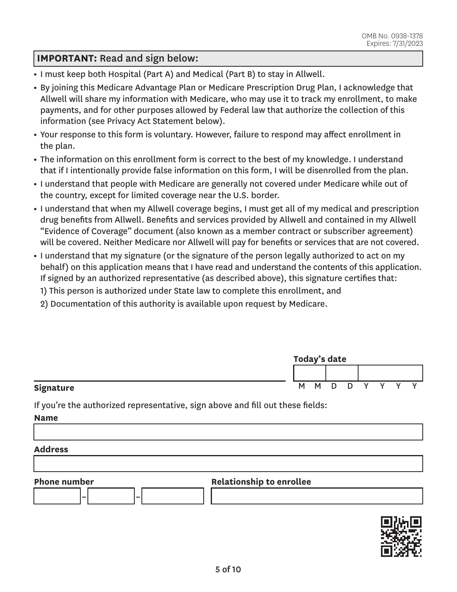### **IMPORTANT:** Read and sign below:

- **•** I must keep both Hospital (Part A) and Medical (Part B) to stay in Allwell.
- **•** By joining this Medicare Advantage Plan or Medicare Prescription Drug Plan, I acknowledge that Allwell will share my information with Medicare, who may use it to track my enrollment, to make payments, and for other purposes allowed by Federal law that authorize the collection of this information (see Privacy Act Statement below).
- **•** Your response to this form is voluntary. However, failure to respond may affect enrollment in the plan.
- **•** The information on this enrollment form is correct to the best of my knowledge. I understand that if I intentionally provide false information on this form, I will be disenrolled from the plan.
- **•** I understand that people with Medicare are generally not covered under Medicare while out of the country, except for limited coverage near the U.S. border.
- **•** I understand that when my Allwell coverage begins, I must get all of my medical and prescription drug benefits from Allwell. Benefits and services provided by Allwell and contained in my Allwell "Evidence of Coverage" document (also known as a member contract or subscriber agreement) will be covered. Neither Medicare nor Allwell will pay for benefits or services that are not covered.
- **•** I understand that my signature (or the signature of the person legally authorized to act on my behalf) on this application means that I have read and understand the contents of this application. If signed by an authorized representative (as described above), this signature certifies that:

1) This person is authorized under State law to complete this enrollment, and

2) Documentation of this authority is available upon request by Medicare.

|           | Today's date |   |     |  |  |   |  |  |
|-----------|--------------|---|-----|--|--|---|--|--|
|           |              |   |     |  |  |   |  |  |
| Signature | М            | M | - D |  |  | v |  |  |

If you're the authorized representative, sign above and fill out these fields:

**Name** 

#### **Address**



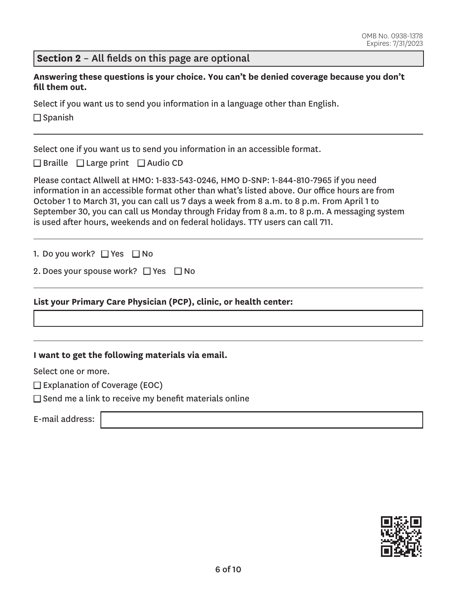### **Section 2** – All fields on this page are optional

**Answering these questions is your choice. You can't be denied coverage because you don't fill them out.** 

Select if you want us to send you information in a language other than English.

 $\square$  Spanish

Select one if you want us to send you information in an accessible format.

 $\Box$  Braille  $\Box$  Large print  $\Box$  Audio CD

Please contact Allwell at HMO: 1-833-543-0246, HMO D-SNP: 1-844-810-7965 if you need information in an accessible format other than what's listed above. Our office hours are from October 1 to March 31, you can call us 7 days a week from 8 a.m. to 8 p.m. From April 1 to September 30, you can call us Monday through Friday from 8 a.m. to 8 p.m. A messaging system is used after hours, weekends and on federal holidays. TTY users can call 711.

1. Do you work? □ Yes □ No

|  |  |  | 2. Does your spouse work? □ Yes □ No |  |  |  |
|--|--|--|--------------------------------------|--|--|--|
|--|--|--|--------------------------------------|--|--|--|

#### **List your Primary Care Physician (PCP), clinic, or health center:**

**I want to get the following materials via email.** 

Select one or more.

 $\square$  Explanation of Coverage (EOC)

 $\square$  Send me a link to receive my benefit materials online

E-mail address:

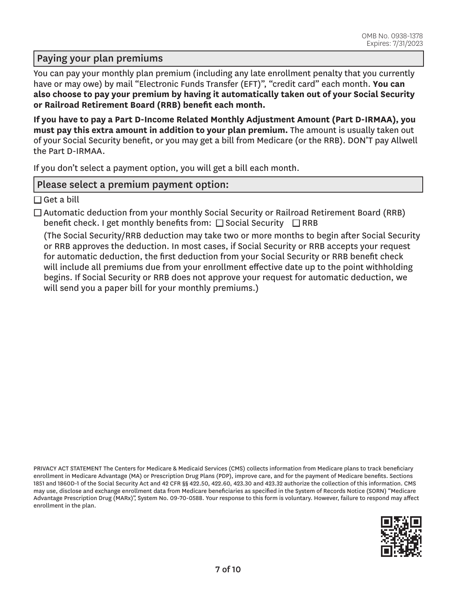### Paying your plan premiums

You can pay your monthly plan premium (including any late enrollment penalty that you currently have or may owe) by mail "Electronic Funds Transfer (EFT)", "credit card" each month. **You can also choose to pay your premium by having it automatically taken out of your Social Security or Railroad Retirement Board (RRB) benefit each month.** 

**If you have to pay a Part D-Income Related Monthly Adjustment Amount (Part D-IRMAA), you must pay this extra amount in addition to your plan premium.** The amount is usually taken out of your Social Security benefit, or you may get a bill from Medicare (or the RRB). DON'T pay Allwell the Part D-IRMAA.

If you don't select a payment option, you will get a bill each month.

### Please select a premium payment option:

 $\square$  Get a bill

 $\Box$  Automatic deduction from your monthly Social Security or Railroad Retirement Board (RRB) benefit check. I get monthly benefits from:  $\Box$  Social Security  $\Box$  RRB

(The Social Security/RRB deduction may take two or more months to begin after Social Security or RRB approves the deduction. In most cases, if Social Security or RRB accepts your request for automatic deduction, the first deduction from your Social Security or RRB benefit check will include all premiums due from your enrollment effective date up to the point withholding begins. If Social Security or RRB does not approve your request for automatic deduction, we will send you a paper bill for your monthly premiums.)

PRIVACY ACT STATEMENT The Centers for Medicare & Medicaid Services (CMS) collects information from Medicare plans to track beneficiary enrollment in Medicare Advantage (MA) or Prescription Drug Plans (PDP), improve care, and for the payment of Medicare benefits. Sections 1851 and 1860D-1 of the Social Security Act and 42 CFR §§ 422.50, 422.60, 423.30 and 423.32 authorize the collection of this information. CMS may use, disclose and exchange enrollment data from Medicare beneficiaries as specified in the System of Records Notice (SORN) "Medicare Advantage Prescription Drug (MARx)", System No. 09-70-0588. Your response to this form is voluntary. However, failure to respond may affect enrollment in the plan.

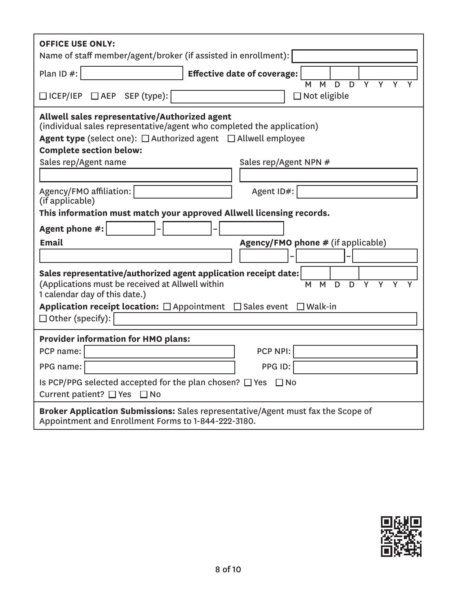| <b>OFFICE USE ONLY:</b><br>Name of staff member/agent/broker (if assisted in enrollment):                                                                                                                                                                                                    |  |  |  |  |  |
|----------------------------------------------------------------------------------------------------------------------------------------------------------------------------------------------------------------------------------------------------------------------------------------------|--|--|--|--|--|
| Plan ID #:<br><b>Effective date of coverage:</b><br>$\overline{Y}$                                                                                                                                                                                                                           |  |  |  |  |  |
| $\overline{D}$<br>$\overline{Y}$<br>M<br>D<br>M<br>□ ICEP/IEP □ AEP SEP (type):<br>$\Box$ Not eligible                                                                                                                                                                                       |  |  |  |  |  |
| Allwell sales representative/Authorized agent<br>(individual sales representative/agent who completed the application)<br><b>Agent type</b> (select one): $\Box$ Authorized agent $\Box$ Allwell employee<br><b>Complete section below:</b><br>Sales rep/Agent name<br>Sales rep/Agent NPN # |  |  |  |  |  |
|                                                                                                                                                                                                                                                                                              |  |  |  |  |  |
| Agency/FMO affiliation:<br>Agent ID#:                                                                                                                                                                                                                                                        |  |  |  |  |  |
| (if applicable)<br>This information must match your approved Allwell licensing records.                                                                                                                                                                                                      |  |  |  |  |  |
| Agent phone #:                                                                                                                                                                                                                                                                               |  |  |  |  |  |
| <b>Email</b><br><b>Agency/FMO phone # (if applicable)</b>                                                                                                                                                                                                                                    |  |  |  |  |  |
|                                                                                                                                                                                                                                                                                              |  |  |  |  |  |
| Sales representative/authorized agent application receipt date:<br>(Applications must be received at Allwell within<br>M<br>D<br>D<br>Y<br>M<br>Y<br>Y<br>Y<br>1 calendar day of this date.)                                                                                                 |  |  |  |  |  |
| Application receipt location: $\Box$ Appointment $\Box$ Sales event<br>$\square$ Walk-in<br>$\Box$ Other (specify):                                                                                                                                                                          |  |  |  |  |  |
| <b>Provider information for HMO plans:</b>                                                                                                                                                                                                                                                   |  |  |  |  |  |
| PCP NPI:<br>PCP name:                                                                                                                                                                                                                                                                        |  |  |  |  |  |
| PPG ID:<br>PPG name:                                                                                                                                                                                                                                                                         |  |  |  |  |  |
| Is PCP/PPG selected accepted for the plan chosen? $\Box$ Yes $\Box$ No<br>Current patient? $\Box$ Yes $\Box$ No                                                                                                                                                                              |  |  |  |  |  |
| Broker Application Submissions: Sales representative/Agent must fax the Scope of<br>Appointment and Enrollment Forms to 1-844-222-3180.                                                                                                                                                      |  |  |  |  |  |

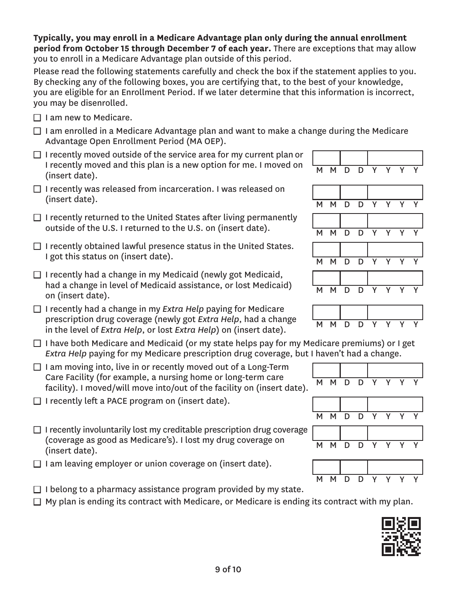### **Typically, you may enroll in a Medicare Advantage plan only during the annual enrollment period from October 15 through December 7 of each year.** There are exceptions that may allow you to enroll in a Medicare Advantage plan outside of this period.

Please read the following statements carefully and check the box if the statement applies to you. By checking any of the following boxes, you are certifying that, to the best of your knowledge, you are eligible for an Enrollment Period. If we later determine that this information is incorrect, you may be disenrolled.

- $\Box$  I am new to Medicare.
- $\Box$  I am enrolled in a Medicare Advantage plan and want to make a change during the Medicare Advantage Open Enrollment Period (MA OEP).
- $\Box$  I recently moved outside of the service area for my current plan or I recently moved and this plan is a new option for me. I moved on  $\begin{array}{|l|} \hline \text{M} & \text{M} & \text{D} & \text{D} & \text{Y} & \text{Y} & \text{Y} & \text{Y} \ \hline \text{(insert date)}. \hline \end{array}$
- $\Box$  I recently was released from incarceration. I was released on (insert date). M M D D Y Y Y Y
- $\Box$  I recently returned to the United States after living permanently outside of the U.S. I returned to the U.S. on (insert date).  $M \times N$   $N \times N$
- $\Box$  I recently obtained lawful presence status in the United States. I got this status on (insert date).  $M \cup N$  M  $N \cup N$  D  $N$  Y
- $\Box$  I recently had a change in my Medicaid (newly got Medicaid, had a change in level of Medicaid assistance, or lost Medicaid) <br>on (insert date). M M D D Y Y Y Y
- □ I recently had a change in my *Extra Help* paying for Medicare prescription drug coverage (newly got *Extra Help*, had a change prescription and *coverage* (newly got *Extra Help*, had a change MMMDD D in the level of *Extra Help*, or lost *Extra Help*) on (insert date).
- $\Box$  I have both Medicare and Medicaid (or my state helps pay for my Medicare premiums) or I get *Extra Help* paying for my Medicare prescription drug coverage, but I haven't had a change.
- $\Box$  I am moving into, live in or recently moved out of a Long-Term Care Facility (for example, a nursing home or long-term care Care ractity (for example, a hursing nome of long-term care  $\overline{M}$  M D D Y Y Y Y  $\overline{Y}$  facility). I moved/will move into/out of the facility on (insert date).
- $\Box$  I recently left a PACE program on (insert date).
- $\Box$  I recently involuntarily lost my creditable prescription drug coverage (coverage as good as Medicare's). I lost my drug coverage on (insert date). M M D D Y Y Y Y
- $\Box$  I am leaving employer or union coverage on (insert date).
- $\Box$  I belong to a pharmacy assistance program provided by my state.  $\Box$  My plan is ending its contract with Medicare, or Medicare is ending its contract with my plan.